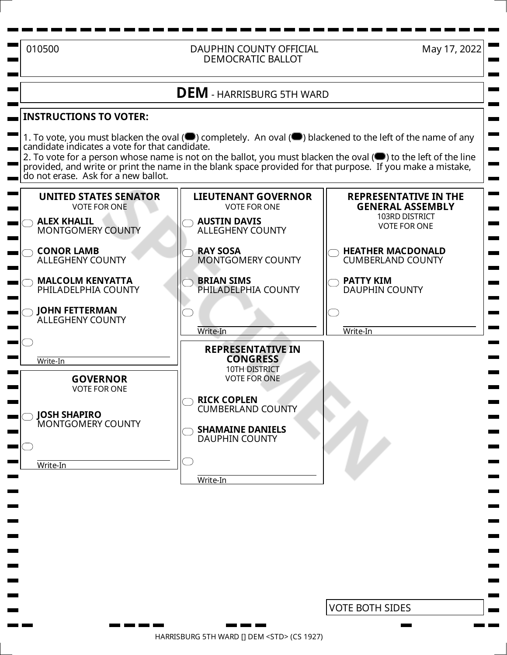## 010500 DAUPHIN COUNTY OFFICIAL DEMOCRATIC BALLOT

May 17, 2022

## **DEM** - HARRISBURG 5TH WARD

## **INSTRUCTIONS TO VOTER:**

1. To vote, you must blacken the oval ( $\blacksquare$ ) completely. An oval ( $\blacksquare$ ) blackened to the left of the name of any candidate indicates a vote for that candidate.

2. To vote for a person whose name is not on the ballot, you must blacken the oval  $($ **)** to the left of the line provided, and write or print the name in the blank space provided for that purpose. If you make a mistake, do not erase. Ask for a new ballot.